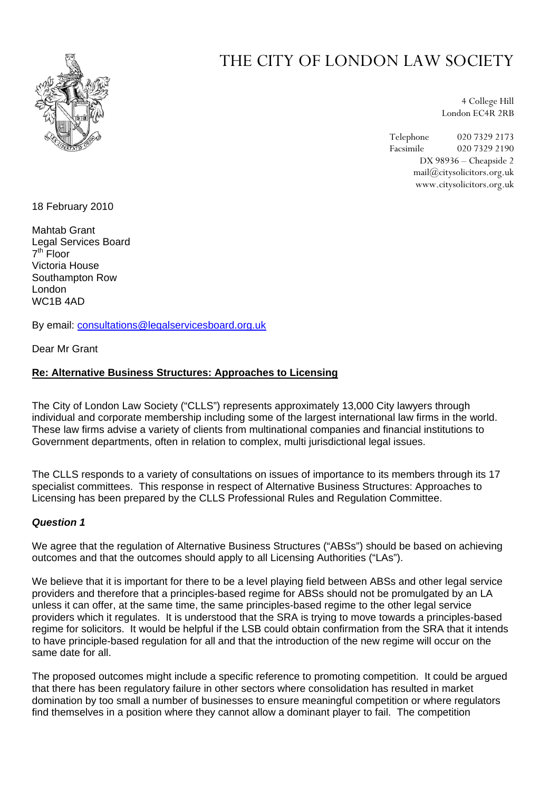

# THE CITY OF LONDON LAW SOCIETY

4 College Hill London EC4R 2RB

Telephone 020 7329 2173 Facsimile 020 7329 2190 DX 98936 – Cheapside 2 mail@citysolicitors.org.uk www.citysolicitors.org.uk

18 February 2010

Mahtab Grant Legal Services Board  $7<sup>th</sup>$  Floor Victoria House Southampton Row London WC1B 4AD

By email: [consultations@legalservicesboard.org.uk](mailto:consultations@legalservicesboard.org.uk)

Dear Mr Grant

#### **Re: Alternative Business Structures: Approaches to Licensing**

The City of London Law Society ("CLLS") represents approximately 13,000 City lawyers through individual and corporate membership including some of the largest international law firms in the world. These law firms advise a variety of clients from multinational companies and financial institutions to Government departments, often in relation to complex, multi jurisdictional legal issues.

The CLLS responds to a variety of consultations on issues of importance to its members through its 17 specialist committees. This response in respect of Alternative Business Structures: Approaches to Licensing has been prepared by the CLLS Professional Rules and Regulation Committee.

#### *Question 1*

We agree that the regulation of Alternative Business Structures ("ABSs") should be based on achieving outcomes and that the outcomes should apply to all Licensing Authorities ("LAs").

We believe that it is important for there to be a level playing field between ABSs and other legal service providers and therefore that a principles-based regime for ABSs should not be promulgated by an LA unless it can offer, at the same time, the same principles-based regime to the other legal service providers which it regulates. It is understood that the SRA is trying to move towards a principles-based regime for solicitors. It would be helpful if the LSB could obtain confirmation from the SRA that it intends to have principle-based regulation for all and that the introduction of the new regime will occur on the same date for all.

The proposed outcomes might include a specific reference to promoting competition. It could be argued that there has been regulatory failure in other sectors where consolidation has resulted in market domination by too small a number of businesses to ensure meaningful competition or where regulators find themselves in a position where they cannot allow a dominant player to fail. The competition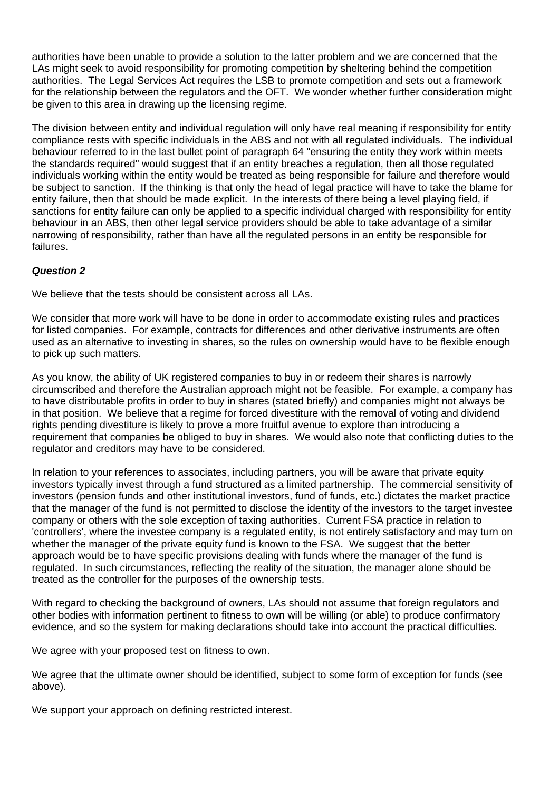authorities have been unable to provide a solution to the latter problem and we are concerned that the LAs might seek to avoid responsibility for promoting competition by sheltering behind the competition authorities. The Legal Services Act requires the LSB to promote competition and sets out a framework for the relationship between the regulators and the OFT. We wonder whether further consideration might be given to this area in drawing up the licensing regime.

The division between entity and individual regulation will only have real meaning if responsibility for entity compliance rests with specific individuals in the ABS and not with all regulated individuals. The individual behaviour referred to in the last bullet point of paragraph 64 "ensuring the entity they work within meets the standards required" would suggest that if an entity breaches a requiation, then all those requiated individuals working within the entity would be treated as being responsible for failure and therefore would be subject to sanction. If the thinking is that only the head of legal practice will have to take the blame for entity failure, then that should be made explicit. In the interests of there being a level playing field, if sanctions for entity failure can only be applied to a specific individual charged with responsibility for entity behaviour in an ABS, then other legal service providers should be able to take advantage of a similar narrowing of responsibility, rather than have all the regulated persons in an entity be responsible for failures.

# *Question 2*

We believe that the tests should be consistent across all LAs.

We consider that more work will have to be done in order to accommodate existing rules and practices for listed companies. For example, contracts for differences and other derivative instruments are often used as an alternative to investing in shares, so the rules on ownership would have to be flexible enough to pick up such matters.

As you know, the ability of UK registered companies to buy in or redeem their shares is narrowly circumscribed and therefore the Australian approach might not be feasible. For example, a company has to have distributable profits in order to buy in shares (stated briefly) and companies might not always be in that position. We believe that a regime for forced divestiture with the removal of voting and dividend rights pending divestiture is likely to prove a more fruitful avenue to explore than introducing a requirement that companies be obliged to buy in shares. We would also note that conflicting duties to the regulator and creditors may have to be considered.

In relation to your references to associates, including partners, you will be aware that private equity investors typically invest through a fund structured as a limited partnership. The commercial sensitivity of investors (pension funds and other institutional investors, fund of funds, etc.) dictates the market practice that the manager of the fund is not permitted to disclose the identity of the investors to the target investee company or others with the sole exception of taxing authorities. Current FSA practice in relation to 'controllers', where the investee company is a regulated entity, is not entirely satisfactory and may turn on whether the manager of the private equity fund is known to the FSA. We suggest that the better approach would be to have specific provisions dealing with funds where the manager of the fund is regulated. In such circumstances, reflecting the reality of the situation, the manager alone should be treated as the controller for the purposes of the ownership tests.

With regard to checking the background of owners, LAs should not assume that foreign regulators and other bodies with information pertinent to fitness to own will be willing (or able) to produce confirmatory evidence, and so the system for making declarations should take into account the practical difficulties.

We agree with your proposed test on fitness to own.

We agree that the ultimate owner should be identified, subject to some form of exception for funds (see above).

We support your approach on defining restricted interest.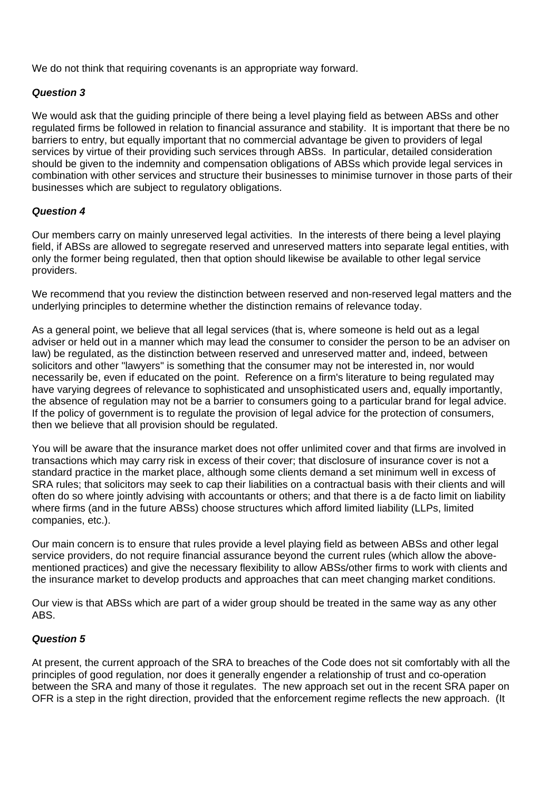We do not think that requiring covenants is an appropriate way forward.

# *Question 3*

We would ask that the guiding principle of there being a level playing field as between ABSs and other regulated firms be followed in relation to financial assurance and stability. It is important that there be no barriers to entry, but equally important that no commercial advantage be given to providers of legal services by virtue of their providing such services through ABSs. In particular, detailed consideration should be given to the indemnity and compensation obligations of ABSs which provide legal services in combination with other services and structure their businesses to minimise turnover in those parts of their businesses which are subject to regulatory obligations.

# *Question 4*

Our members carry on mainly unreserved legal activities. In the interests of there being a level playing field, if ABSs are allowed to segregate reserved and unreserved matters into separate legal entities, with only the former being regulated, then that option should likewise be available to other legal service providers.

We recommend that you review the distinction between reserved and non-reserved legal matters and the underlying principles to determine whether the distinction remains of relevance today.

As a general point, we believe that all legal services (that is, where someone is held out as a legal adviser or held out in a manner which may lead the consumer to consider the person to be an adviser on law) be regulated, as the distinction between reserved and unreserved matter and, indeed, between solicitors and other "lawyers" is something that the consumer may not be interested in, nor would necessarily be, even if educated on the point. Reference on a firm's literature to being regulated may have varying degrees of relevance to sophisticated and unsophisticated users and, equally importantly, the absence of regulation may not be a barrier to consumers going to a particular brand for legal advice. If the policy of government is to regulate the provision of legal advice for the protection of consumers, then we believe that all provision should be regulated.

You will be aware that the insurance market does not offer unlimited cover and that firms are involved in transactions which may carry risk in excess of their cover; that disclosure of insurance cover is not a standard practice in the market place, although some clients demand a set minimum well in excess of SRA rules; that solicitors may seek to cap their liabilities on a contractual basis with their clients and will often do so where jointly advising with accountants or others; and that there is a de facto limit on liability where firms (and in the future ABSs) choose structures which afford limited liability (LLPs, limited companies, etc.).

Our main concern is to ensure that rules provide a level playing field as between ABSs and other legal service providers, do not require financial assurance beyond the current rules (which allow the abovementioned practices) and give the necessary flexibility to allow ABSs/other firms to work with clients and the insurance market to develop products and approaches that can meet changing market conditions.

Our view is that ABSs which are part of a wider group should be treated in the same way as any other ABS.

#### *Question 5*

At present, the current approach of the SRA to breaches of the Code does not sit comfortably with all the principles of good regulation, nor does it generally engender a relationship of trust and co-operation between the SRA and many of those it regulates. The new approach set out in the recent SRA paper on OFR is a step in the right direction, provided that the enforcement regime reflects the new approach. (It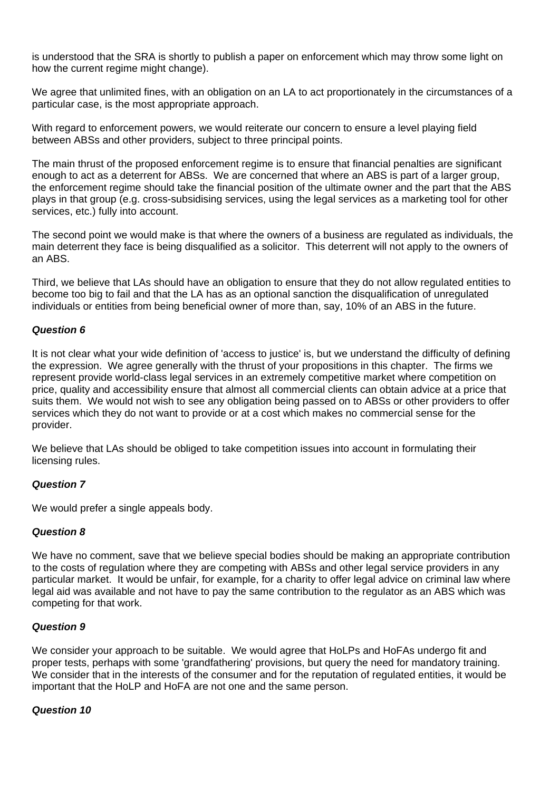is understood that the SRA is shortly to publish a paper on enforcement which may throw some light on how the current regime might change).

We agree that unlimited fines, with an obligation on an LA to act proportionately in the circumstances of a particular case, is the most appropriate approach.

With regard to enforcement powers, we would reiterate our concern to ensure a level playing field between ABSs and other providers, subject to three principal points.

The main thrust of the proposed enforcement regime is to ensure that financial penalties are significant enough to act as a deterrent for ABSs. We are concerned that where an ABS is part of a larger group, the enforcement regime should take the financial position of the ultimate owner and the part that the ABS plays in that group (e.g. cross-subsidising services, using the legal services as a marketing tool for other services, etc.) fully into account.

The second point we would make is that where the owners of a business are regulated as individuals, the main deterrent they face is being disqualified as a solicitor. This deterrent will not apply to the owners of an ABS.

Third, we believe that LAs should have an obligation to ensure that they do not allow regulated entities to become too big to fail and that the LA has as an optional sanction the disqualification of unregulated individuals or entities from being beneficial owner of more than, say, 10% of an ABS in the future.

#### *Question 6*

It is not clear what your wide definition of 'access to justice' is, but we understand the difficulty of defining the expression. We agree generally with the thrust of your propositions in this chapter. The firms we represent provide world-class legal services in an extremely competitive market where competition on price, quality and accessibility ensure that almost all commercial clients can obtain advice at a price that suits them. We would not wish to see any obligation being passed on to ABSs or other providers to offer services which they do not want to provide or at a cost which makes no commercial sense for the provider.

We believe that LAs should be obliged to take competition issues into account in formulating their licensing rules.

#### *Question 7*

We would prefer a single appeals body.

## *Question 8*

We have no comment, save that we believe special bodies should be making an appropriate contribution to the costs of regulation where they are competing with ABSs and other legal service providers in any particular market. It would be unfair, for example, for a charity to offer legal advice on criminal law where legal aid was available and not have to pay the same contribution to the regulator as an ABS which was competing for that work.

#### *Question 9*

We consider your approach to be suitable. We would agree that HoLPs and HoFAs undergo fit and proper tests, perhaps with some 'grandfathering' provisions, but query the need for mandatory training. We consider that in the interests of the consumer and for the reputation of regulated entities, it would be important that the HoLP and HoFA are not one and the same person.

#### *Question 10*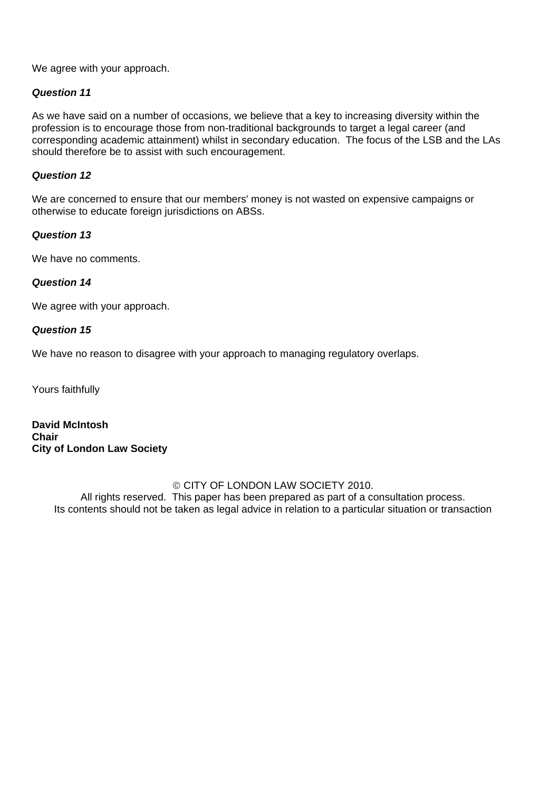We agree with your approach.

## *Question 11*

As we have said on a number of occasions, we believe that a key to increasing diversity within the profession is to encourage those from non-traditional backgrounds to target a legal career (and corresponding academic attainment) whilst in secondary education. The focus of the LSB and the LAs should therefore be to assist with such encouragement.

#### *Question 12*

We are concerned to ensure that our members' money is not wasted on expensive campaigns or otherwise to educate foreign jurisdictions on ABSs.

#### *Question 13*

We have no comments.

# *Question 14*

We agree with your approach.

#### *Question 15*

We have no reason to disagree with your approach to managing regulatory overlaps.

Yours faithfully

**David McIntosh Chair City of London Law Society** 

#### © CITY OF LONDON LAW SOCIETY 2010.

All rights reserved. This paper has been prepared as part of a consultation process. Its contents should not be taken as legal advice in relation to a particular situation or transaction